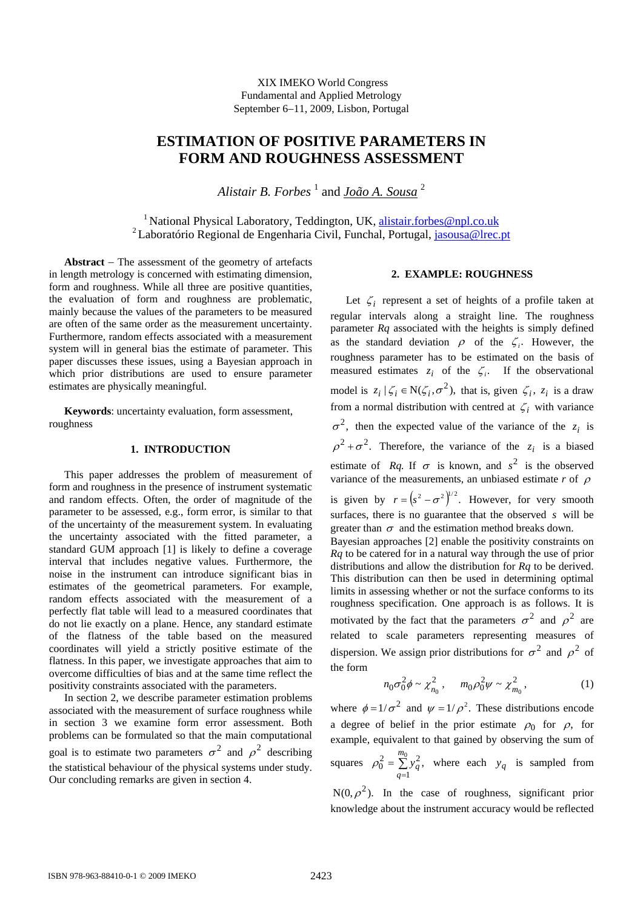XIX IMEKO World Congress Fundamental and Applied Metrology September 6−11, 2009, Lisbon, Portugal

# **ESTIMATION OF POSITIVE PARAMETERS IN FORM AND ROUGHNESS ASSESSMENT**

*Alistair B. Forbes* <sup>1</sup> and *João A. Sousa* <sup>2</sup>

<sup>1</sup>National Physical Laboratory, Teddington, UK, **alistair.forbes@npl.co.uk** <sup>2</sup> Laboratório Regional de Engenharia Civil, Funchal, Portugal, *jasousa@lrec.pt* 

**Abstract** − The assessment of the geometry of artefacts in length metrology is concerned with estimating dimension, form and roughness. While all three are positive quantities, the evaluation of form and roughness are problematic, mainly because the values of the parameters to be measured are often of the same order as the measurement uncertainty. Furthermore, random effects associated with a measurement system will in general bias the estimate of parameter. This paper discusses these issues, using a Bayesian approach in which prior distributions are used to ensure parameter estimates are physically meaningful.

**Keywords**: uncertainty evaluation, form assessment, roughness

### **1. INTRODUCTION**

This paper addresses the problem of measurement of form and roughness in the presence of instrument systematic and random effects. Often, the order of magnitude of the parameter to be assessed, e.g., form error, is similar to that of the uncertainty of the measurement system. In evaluating the uncertainty associated with the fitted parameter, a standard GUM approach [1] is likely to define a coverage interval that includes negative values. Furthermore, the noise in the instrument can introduce significant bias in estimates of the geometrical parameters. For example, random effects associated with the measurement of a perfectly flat table will lead to a measured coordinates that do not lie exactly on a plane. Hence, any standard estimate of the flatness of the table based on the measured coordinates will yield a strictly positive estimate of the flatness. In this paper, we investigate approaches that aim to overcome difficulties of bias and at the same time reflect the positivity constraints associated with the parameters.

In section 2, we describe parameter estimation problems associated with the measurement of surface roughness while in section 3 we examine form error assessment. Both problems can be formulated so that the main computational goal is to estimate two parameters  $\sigma^2$  and  $\rho^2$  describing the statistical behaviour of the physical systems under study. Our concluding remarks are given in section 4.

### **2. EXAMPLE: ROUGHNESS**

Let  $\zeta_i$  represent a set of heights of a profile taken at regular intervals along a straight line. The roughness parameter *Rq* associated with the heights is simply defined as the standard deviation  $\rho$  of the  $\zeta_i$ . However, the roughness parameter has to be estimated on the basis of measured estimates  $z_i$  of the  $\zeta_i$ . If the observational model is  $z_i | \zeta_i \in N(\zeta_i, \sigma^2)$ , that is, given  $\zeta_i$ ,  $z_i$  is a draw from a normal distribution with centred at  $\zeta_i$  with variance  $\sigma^2$ , then the expected value of the variance of the  $z_i$  is  $\rho^2 + \sigma^2$ . Therefore, the variance of the  $z_i$  is a biased estimate of *Rq*. If  $\sigma$  is known, and  $s^2$  is the observed variance of the measurements, an unbiased estimate  $r$  of  $\rho$ is given by  $r = (s^2 - \sigma^2)^{1/2}$ . However, for very smooth surfaces, there is no guarantee that the observed *s* will be greater than  $\sigma$  and the estimation method breaks down. Bayesian approaches [2] enable the positivity constraints on *Rq* to be catered for in a natural way through the use of prior distributions and allow the distribution for *Rq* to be derived. This distribution can then be used in determining optimal limits in assessing whether or not the surface conforms to its roughness specification. One approach is as follows. It is motivated by the fact that the parameters  $\sigma^2$  and  $\rho^2$  are related to scale parameters representing measures of dispersion. We assign prior distributions for  $\sigma^2$  and  $\rho^2$  of the form

$$
n_0 \sigma_0^2 \phi \sim \chi_{n_0}^2 \,, \quad m_0 \rho_0^2 \psi \sim \chi_{m_0}^2 \,, \tag{1}
$$

where  $\phi = 1/\sigma^2$  and  $\psi = 1/\rho^2$ . These distributions encode a degree of belief in the prior estimate  $\rho_0$  for  $\rho$ , for example, equivalent to that gained by observing the sum of squares  $\rho_0^2 = \sum_{n=0}^{m_0} y_a^2$ , where each  $y_a$  is sampled from 1  $v_0^2 = \sum_{q=1}^{m} y_q^2$ = *m*  $\rho_0^2 = \sum_{q=1} y_q^2$ , where each  $y_q$ 

 $N(0, \rho^2)$ . In the case of roughness, significant prior knowledge about the instrument accuracy would be reflected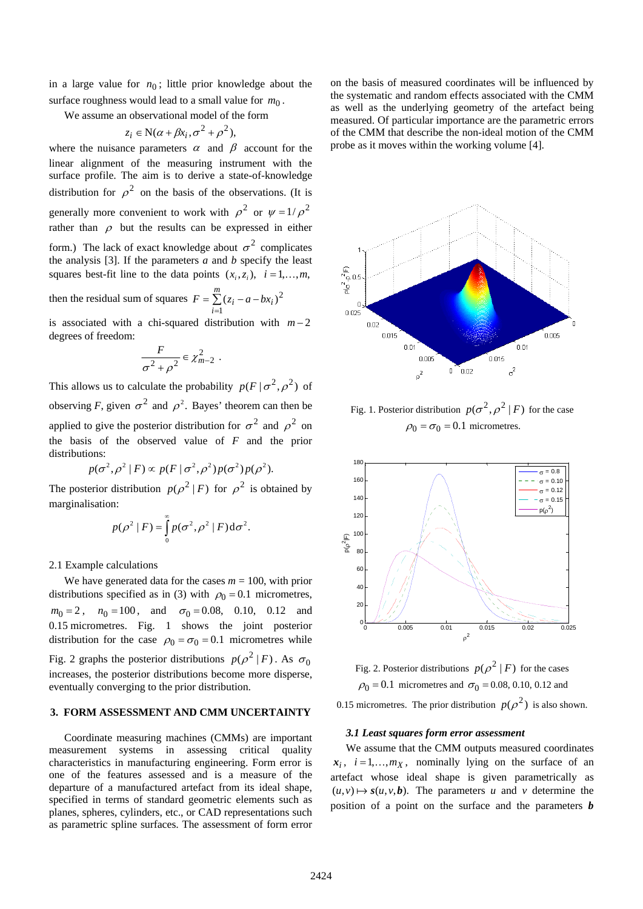in a large value for  $n_0$ ; little prior knowledge about the surface roughness would lead to a small value for  $m_0$ .

We assume an observational model of the form

$$
z_i \in N(\alpha + \beta x_i, \sigma^2 + \rho^2),
$$

where the nuisance parameters  $\alpha$  and  $\beta$  account for the linear alignment of the measuring instrument with the surface profile. The aim is to derive a state-of-knowledge distribution for  $\rho^2$  on the basis of the observations. (It is generally more convenient to work with  $\rho^2$  or  $\psi = 1/\rho^2$ rather than  $\rho$  but the results can be expressed in either form.) The lack of exact knowledge about  $\sigma^2$  complicates the analysis  $[3]$ . If the parameters *a* and *b* specify the least squares best-fit line to the data points  $(x_i, z_i)$ ,  $i = 1,...,m$ ,

then the residual sum of squares  $F = \sum$ =  $=\sum_{i=1}^{m}(z_i-a F = \sum_{i=1}^{n} (z_i - a - bx_i)$  $(z_i - a - bx_i)^2$ 

is associated with a chi-squared distribution with *m* − 2 degrees of freedom:

$$
\frac{F}{\sigma^2+\rho^2}\in\chi^2_{m-2}\ .
$$

<span id="page-1-0"></span>This allows us to calculate the probability  $p(F | \sigma^2, \rho^2)$  of observing *F*, given  $\sigma^2$  and  $\rho^2$ . Bayes' theorem can then be applied to give the posterior distribution for  $\sigma^2$  and  $\rho^2$  on the basis of the observed value of *F* and the prior distributions:

$$
p(\sigma^2,\rho^2 \mid F) \propto p(F \mid \sigma^2,\rho^2)p(\sigma^2)p(\rho^2).
$$

The posterior distribution  $p(\rho^2 | F)$  for  $\rho^2$  is obtained by marginalisation:

$$
p(\rho^2 | F) = \int_0^{\infty} p(\sigma^2, \rho^2 | F) d\sigma^2.
$$

2.1 Example calculations

We have generated data for the cases  $m = 100$ , with prior distributions specified as in (3) with  $\rho_0 = 0.1$  micrometres,  $m_0 = 2$ ,  $n_0 = 100$ , and  $\sigma_0 = 0.08$ , 0.10, 0.12 and 0.15 micrometres. [Fig. 1](#page-1-0) shows the joint posterior distribution for the case  $\rho_0 = \sigma_0 = 0.1$  micrometres while [Fig. 2](#page-1-1) graphs the posterior distributions  $p(\rho^2 | F)$ . As  $\sigma_0$ increases, the posterior distributions become more disperse, eventually converging to the prior distribution.

#### <span id="page-1-1"></span>**3. FORM ASSESSMENT AND CMM UNCERTAINTY**

 Coordinate measuring machines (CMMs) are important measurement systems in assessing critical quality characteristics in manufacturing engineering. Form error is one of the features assessed and is a measure of the departure of a manufactured artefact from its ideal shape, specified in terms of standard geometric elements such as planes, spheres, cylinders, etc., or CAD representations such as parametric spline surfaces. The assessment of form error

on the basis of measured coordinates will be influenced by the systematic and random effects associated with the CMM as well as the underlying geometry of the artefact being measured. Of particular importance are the parametric errors of the CMM that describe the non-ideal motion of the CMM probe as it moves within the working volume [4].



Fig. 1. Posterior distribution  $p(\sigma^2, \rho^2 | F)$  for the case  $\rho_0 = \sigma_0 = 0.1$  micrometres.



Fig. 2. Posterior distributions  $p(\rho^2 | F)$  for the cases  $\rho_0 = 0.1$  micrometres and  $\sigma_0 = 0.08, 0.10, 0.12$  and

0.15 micrometres. The prior distribution  $p(\rho^2)$  is also shown.

### *3.1 Least squares form error assessment*

We assume that the CMM outputs measured coordinates  $x_i$ ,  $i = 1,...,m_X$ , nominally lying on the surface of an artefact whose ideal shape is given parametrically as  $(u, v) \mapsto s(u, v, b)$ . The parameters *u* and *v* determine the position of a point on the surface and the parameters *b*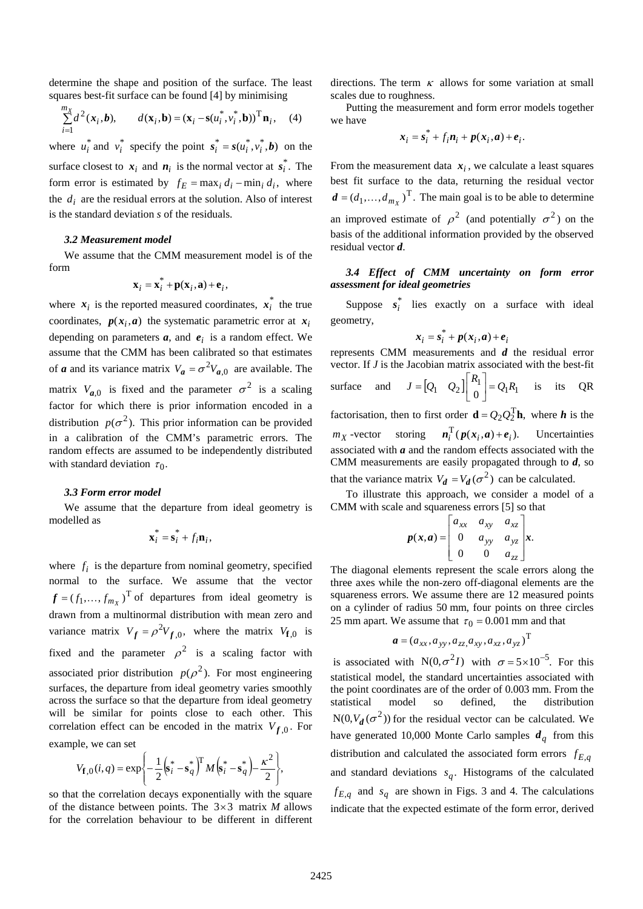determine the shape and position of the surface. The least squares best-fit surface can be found [4] by minimising

$$
\sum_{i=1}^{m_X} d^2(\mathbf{x}_i, \mathbf{b}), \qquad d(\mathbf{x}_i, \mathbf{b}) = (\mathbf{x}_i - \mathbf{s}(u_i^*, v_i^*, \mathbf{b}))^\mathrm{T} \mathbf{n}_i, \quad (4)
$$

where  $u_i^*$  and  $v_i^*$  specify the point  $s_i^* = s(u_i^*, v_i^*, b)$  on the surface closest to  $x_i$  and  $n_i$  is the normal vector at  $s_i^*$ . The form error is estimated by  $f_E = \max_i d_i - \min_i d_i$ , where the  $d_i$  are the residual errors at the solution. Also of interest is the standard deviation *s* of the residuals.

#### *3.2 Measurement model*

 We assume that the CMM measurement model is of the form

$$
\mathbf{x}_i = \mathbf{x}_i^* + \mathbf{p}(\mathbf{x}_i, \mathbf{a}) + \mathbf{e}_i,
$$

where  $x_i$  is the reported measured coordinates,  $x_i^*$  the true coordinates,  $p(x_i, a)$  the systematic parametric error at  $x_i$ depending on parameters  $a$ , and  $e_i$  is a random effect. We assume that the CMM has been calibrated so that estimates of *a* and its variance matrix  $V_a = \sigma^2 V_{a,0}$  are available. The matrix  $V_{a,0}$  is fixed and the parameter  $\sigma^2$  is a scaling factor for which there is prior information encoded in a distribution  $p(\sigma^2)$ . This prior information can be provided in a calibration of the CMM's parametric errors. The random effects are assumed to be independently distributed with standard deviation  $\tau_0$ .

#### *3.3 Form error model*

We assume that the departure from ideal geometry is modelled as

$$
\mathbf{x}_i^* = \mathbf{s}_i^* + f_i \mathbf{n}_i,
$$

where  $f_i$  is the departure from nominal geometry, specified normal to the surface. We assume that the vector  $f = (f_1, \dots, f_{m_X})^T$  of departures from ideal geometry is drawn from a multinormal distribution with mean zero and variance matrix  $V_f = \rho^2 V_{f,0}$ , where the matrix  $V_{f,0}$  is fixed and the parameter  $\rho^2$  is a scaling factor with associated prior distribution  $p(\rho^2)$ . For most engineering surfaces, the departure from ideal geometry varies smoothly across the surface so that the departure from ideal geometry will be similar for points close to each other. This correlation effect can be encoded in the matrix  $V_{f,0}$ . For example, we can set

$$
V_{\mathbf{f},0}(i,q) = \exp\left\{-\frac{1}{2}\left(\mathbf{s}_i^* - \mathbf{s}_q^*\right)^T M \left(\mathbf{s}_i^* - \mathbf{s}_q^*\right) - \frac{\kappa^2}{2}\right\},\
$$

so that the correlation decays exponentially with the square of the distance between points. The  $3 \times 3$  matrix *M* allows for the correlation behaviour to be different in different

directions. The term  $\kappa$  allows for some variation at small scales due to roughness.

Putting the measurement and form error models together we have

$$
x_i = s_i^* + f_i n_i + p(x_i, a) + e_i.
$$

From the measurement data  $x_i$ , we calculate a least squares best fit surface to the data, returning the residual vector  $\boldsymbol{d} = (d_1, \dots, d_{m_X})^{\text{T}}$ . The main goal is to be able to determine an improved estimate of  $\rho^2$  (and potentially  $\sigma^2$ ) on the basis of the additional information provided by the observed residual vector *d*.

### *3.4 Effect of CMM uncertainty on form error assessment for ideal geometries*

Suppose  $s_i^*$  lies exactly on a surface with ideal geometry,

$$
x_i = s_i^* + p(x_i, a) + e_i
$$

represents CMM measurements and *d* the residual error vector. If *J* is the Jacobian matrix associated with the best-fit surface and  $J = [Q_1 \ Q_2] \begin{bmatrix} R_1 \\ 0 \end{bmatrix} = Q_1 R_1$  is its QR factorisation, then to first order  $\mathbf{d} = Q_2 Q_2^T \mathbf{h}$ , where *h* is the  $m_X$ -vector storing  $n_i^T (p(x_i, a) + e_i)$ . Uncertainties associated with *a* and the random effects associated with the CMM measurements are easily propagated through to *d*, so that the variance matrix  $V_d = V_d(\sigma^2)$  can be calculated.  $=[Q_1 \ Q_2]$ 

To illustrate this approach, we consider a model of a CMM with scale and squareness errors [5] so that

$$
\boldsymbol{p}(\boldsymbol{x}, \boldsymbol{a}) = \begin{bmatrix} a_{xx} & a_{xy} & a_{xz} \\ 0 & a_{yy} & a_{yz} \\ 0 & 0 & a_{zz} \end{bmatrix} \boldsymbol{x}
$$

.

The diagonal elements represent the scale errors along the three axes while the non-zero off-diagonal elements are the squareness errors. We assume there are 12 measured points on a cylinder of radius 50 mm, four points on three circles 25 mm apart. We assume that  $\tau_0 = 0.001$  mm and that

$$
\boldsymbol{a} = (a_{xx}, a_{yy}, a_{zz}, a_{xy}, a_{xz}, a_{yz})^{\mathrm{T}}
$$

is associated with  $N(0, \sigma^2 I)$  with  $\sigma = 5 \times 10^{-5}$ . For this statistical model, the standard uncertainties associated with the point coordinates are of the order of 0.003 mm. From the statistical model so defined, the distribution  $N(0, V_d(\sigma^2))$  for the residual vector can be calculated. We have generated 10,000 Monte Carlo samples  $d_q$  from this distribution and calculated the associated form errors  $f_{E,q}$ and standard deviations  $s_q$ . Histograms of the calculated  $f_{E,q}$  and  $s_q$  are shown in Figs. 3 and 4. The calculations indicate that the expected estimate of the form error, derived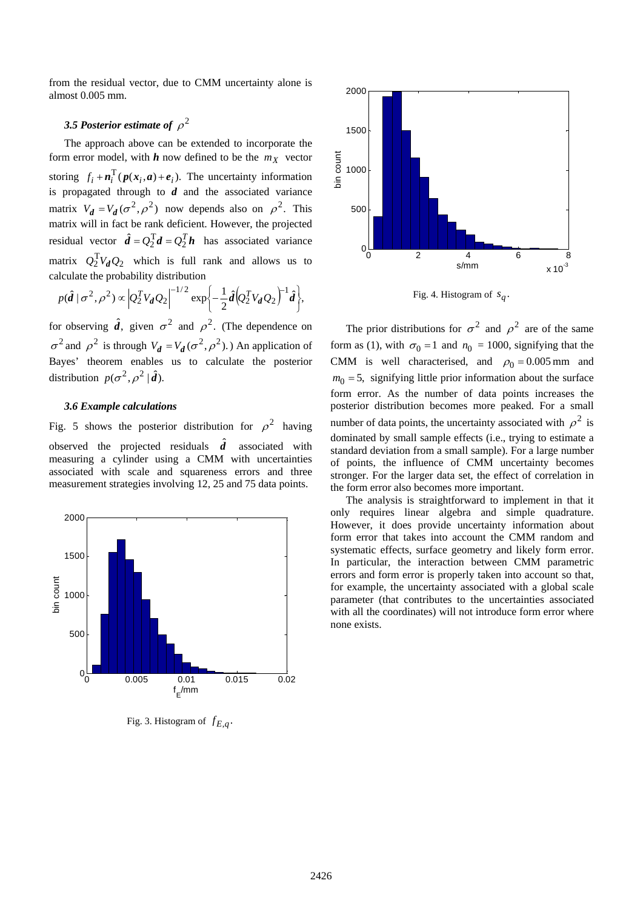from the residual vector, due to CMM uncertainty alone is almost 0.005 mm.

## **3.5 Posterior estimate of**  $ρ<sup>2</sup>$

The approach above can be extended to incorporate the form error model, with  $h$  now defined to be the  $m_X$  vector storing  $f_i + n_i^T (p(x_i, a) + e_i)$ . The uncertainty information is propagated through to *d* and the associated variance matrix  $V_d = V_d (\sigma^2, \rho^2)$  now depends also on  $\rho^2$ . This matrix will in fact be rank deficient. However, the projected residual vector  $\hat{\mathbf{d}} = Q_2^T \mathbf{d} = Q_2^T \mathbf{h}$  has associated variance matrix  $Q_2^T V_d Q_2$  which is full rank and allows us to calculate the probability distribution

$$
p(\hat{\boldsymbol{d}} \mid \sigma^2, \rho^2) \propto \left| Q_2^T V_{\boldsymbol{d}} Q_2 \right|^{-1/2} \exp \left\{-\frac{1}{2} \hat{\boldsymbol{d}} \left(Q_2^T V_{\boldsymbol{d}} Q_2\right)^{-1} \hat{\boldsymbol{d}}\right\},\
$$

for observing  $\hat{d}$ , given  $\sigma^2$  and  $\rho^2$ . (The dependence on  $\sigma^2$  and  $\rho^2$  is through  $V_d = V_d(\sigma^2, \rho^2)$ .) An application of Bayes' theorem enables us to calculate the posterior distribution  $p(\sigma^2, \rho^2 | \hat{d})$ .

### *3.6 Example calculations*

Fig. 5 shows the posterior distribution for  $\rho^2$  having observed the projected residuals  $\hat{d}$  associated with measuring a cylinder using a CMM with uncertainties associated with scale and squareness errors and three measurement strategies involving 12, 25 and 75 data points.



Fig. 3. Histogram of  $f_{E,q}$ .



Fig. 4. Histogram of  $s_q$ .

The prior distributions for  $\sigma^2$  and  $\rho^2$  are of the same form as (1), with  $\sigma_0 = 1$  and  $n_0 = 1000$ , signifying that the CMM is well characterised, and  $\rho_0 = 0.005$  mm and  $m_0 = 5$ , signifying little prior information about the surface form error. As the number of data points increases the posterior distribution becomes more peaked. For a small number of data points, the uncertainty associated with  $\rho^2$  is dominated by small sample effects (i.e., trying to estimate a standard deviation from a small sample). For a large number of points, the influence of CMM uncertainty becomes stronger. For the larger data set, the effect of correlation in the form error also becomes more important.

 The analysis is straightforward to implement in that it only requires linear algebra and simple quadrature. However, it does provide uncertainty information about form error that takes into account the CMM random and systematic effects, surface geometry and likely form error. In particular, the interaction between CMM parametric errors and form error is properly taken into account so that, for example, the uncertainty associated with a global scale parameter (that contributes to the uncertainties associated with all the coordinates) will not introduce form error where none exists.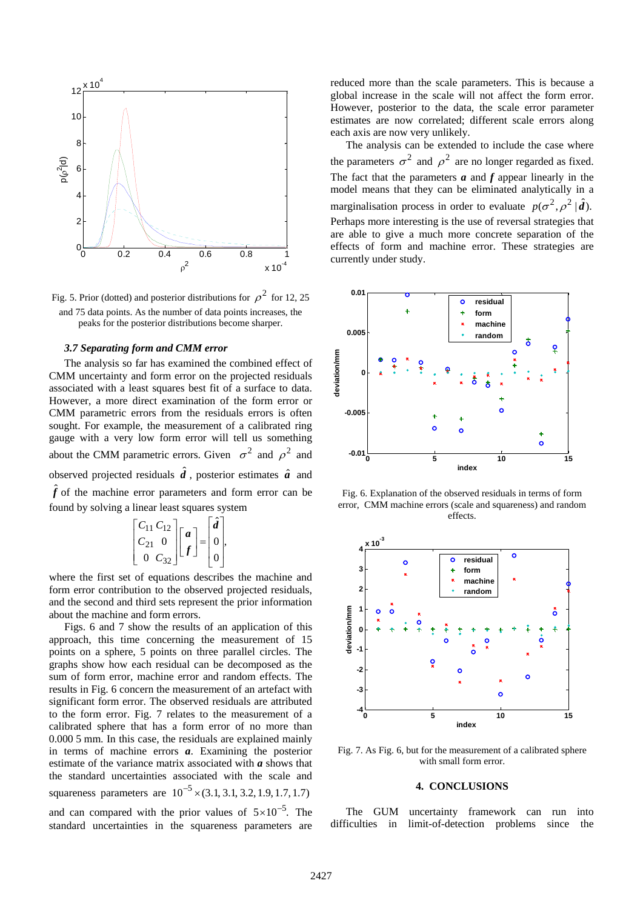

Fig. 5. Prior (dotted) and posterior distributions for  $\rho^2$  for 12, 25 and 75 data points. As the number of data points increases, the peaks for the posterior distributions become sharper.

#### *3.7 Separating form and CMM error*

The analysis so far has examined the combined effect of CMM uncertainty and form error on the projected residuals associated with a least squares best fit of a surface to data. However, a more direct examination of the form error or CMM parametric errors from the residuals errors is often sought. For example, the measurement of a calibrated ring gauge with a very low form error will tell us something about the CMM parametric errors. Given  $\sigma^2$  and  $\rho^2$  and observed projected residuals  $\hat{d}$ , posterior estimates  $\hat{a}$  and  $\hat{f}$  of the machine error parameters and form error can be found by solving a linear least squares system

$$
\begin{bmatrix} C_{11} & C_{12} \\ C_{21} & 0 \\ 0 & C_{32} \end{bmatrix} \begin{bmatrix} a \\ f \end{bmatrix} = \begin{bmatrix} \hat{d} \\ 0 \\ 0 \end{bmatrix},
$$

where the first set of equations describes the machine and form error contribution to the observed projected residuals, and the second and third sets represent the prior information about the machine and form errors.

 Figs. 6 and 7 show the results of an application of this approach, this time concerning the measurement of 15 points on a sphere, 5 points on three parallel circles. The graphs show how each residual can be decomposed as the sum of form error, machine error and random effects. The results in Fig. 6 concern the measurement of an artefact with significant form error. The observed residuals are attributed to the form error. Fig. 7 relates to the measurement of a calibrated sphere that has a form error of no more than 0.000 5 mm. In this case, the residuals are explained mainly in terms of machine errors *a*. Examining the posterior estimate of the variance matrix associated with *a* shows that the standard uncertainties associated with the scale and squareness parameters are  $10^{-5} \times (3.1, 3.1, 3.2, 1.9, 1.7, 1.7)$ and can compared with the prior values of  $5 \times 10^{-5}$ . The

standard uncertainties in the squareness parameters are

reduced more than the scale parameters. This is because a global increase in the scale will not affect the form error. However, posterior to the data, the scale error parameter estimates are now correlated; different scale errors along each axis are now very unlikely.

 The analysis can be extended to include the case where the parameters  $\sigma^2$  and  $\rho^2$  are no longer regarded as fixed. The fact that the parameters  $\boldsymbol{a}$  and  $\boldsymbol{f}$  appear linearly in the model means that they can be eliminated analytically in a marginalisation process in order to evaluate  $p(\sigma^2, \rho^2 | \hat{d})$ . Perhaps more interesting is the use of reversal strategies that are able to give a much more concrete separation of the effects of form and machine error. These strategies are currently under study.



Fig. 6. Explanation of the observed residuals in terms of form error, CMM machine errors (scale and squareness) and random effects.



Fig. 7. As Fig. 6, but for the measurement of a calibrated sphere with small form error.

### **4. CONCLUSIONS**

The GUM uncertainty framework can run into difficulties in limit-of-detection problems since the